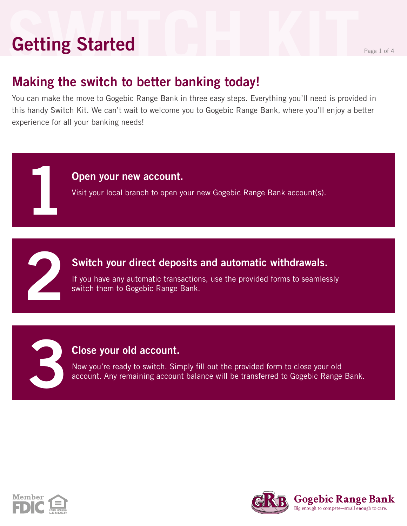## **Setting Started Getting Started**

#### **Making the switch to better banking today!**

You can make the move to Gogebic Range Bank in three easy steps. Everything you'll need is provided in this handy Switch Kit. We can't wait to welcome you to Gogebic Range Bank, where you'll enjoy a better experience for all your banking needs!

#### **Open your new account.**

Visit your local branch to open your new Gogebic Range Bank account(s).

# **2**

**3**

**1**

#### **Switch your direct deposits and automatic withdrawals.**

If you have any automatic transactions, use the provided forms to seamlessly switch them to Gogebic Range Bank.

#### **Close your old account.**

Now you're ready to switch. Simply fill out the provided form to close your old account. Any remaining account balance will be transferred to Gogebic Range Bank.



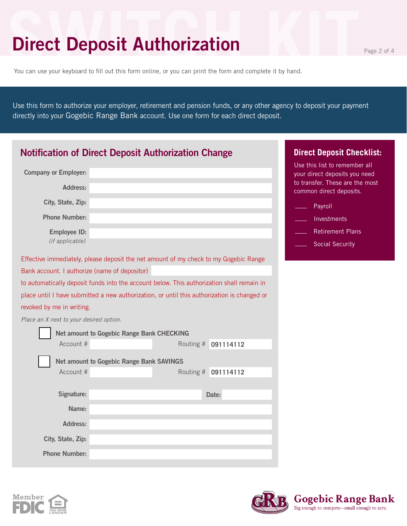## **Direct Deposit Authorization**

You can use your keyboard to fill out this form online, or you can print the form and complete it by hand.

Use this form to authorize your employer, retirement and pension funds, or any other agency to deposit your payment directly into your Gogebic Range Bank account. Use one form for each direct deposit.

| <b>Notification of Direct Deposit Authorization Change</b>                                  | <b>Direct Deposit Checklist:</b>                               |
|---------------------------------------------------------------------------------------------|----------------------------------------------------------------|
| <b>Company or Employer:</b>                                                                 | Use this list to remember all<br>your direct deposits you need |
| Address:                                                                                    | to transfer. These are the most<br>common direct deposits.     |
| City, State, Zip:                                                                           | Payroll                                                        |
| <b>Phone Number:</b>                                                                        | Investments                                                    |
| Employee ID:                                                                                | <b>Retirement Plans</b>                                        |
| (if applicable)                                                                             | <b>Social Security</b>                                         |
| Effective immediately, please deposit the net amount of my check to my Gogebic Range        |                                                                |
| Bank account. I authorize (name of depositor)                                               |                                                                |
| to automatically deposit funds into the account below. This authorization shall remain in   |                                                                |
| place until I have submitted a new authorization, or until this authorization is changed or |                                                                |
| revoked by me in writing.                                                                   |                                                                |
| Place an X next to your desired option.                                                     |                                                                |
| Net amount to Gogebic Range Bank CHECKING                                                   |                                                                |
| Account #                                                                                   | Routing # 091114112                                            |
| <b>Net amount to Gogebic Range Bank SAVINGS</b>                                             |                                                                |
| Account #                                                                                   | Routing # 091114112                                            |
|                                                                                             |                                                                |
| Signature:                                                                                  | Date:                                                          |
| Name:                                                                                       |                                                                |
| Address:                                                                                    |                                                                |
| City, State, Zip:                                                                           |                                                                |
| <b>Phone Number:</b>                                                                        |                                                                |



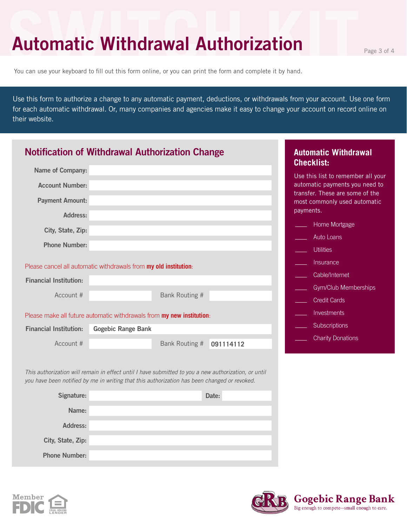## **Automatic Withdrawal Authorization Page 3 of 4**

You can use your keyboard to fill out this form online, or you can print the form and complete it by hand.

Use this form to authorize a change to any automatic payment, deductions, or withdrawals from your account. Use one form for each automatic withdrawal. Or, many companies and agencies make it easy to change your account on record online on their website.

| <b>Notification of Withdrawal Authorization Change</b>                                                                                                                                               |                           |                |           | <b>Automatic Withdrawal</b><br><b>Checklist:</b>                             |
|------------------------------------------------------------------------------------------------------------------------------------------------------------------------------------------------------|---------------------------|----------------|-----------|------------------------------------------------------------------------------|
| <b>Name of Company:</b>                                                                                                                                                                              |                           |                |           | Use this list to remember all your                                           |
| <b>Account Number:</b>                                                                                                                                                                               |                           |                |           | automatic payments you need to                                               |
| <b>Payment Amount:</b>                                                                                                                                                                               |                           |                |           | transfer. These are some of the<br>most commonly used automatic<br>payments. |
| Address:                                                                                                                                                                                             |                           |                |           | Home Mortgage                                                                |
| City, State, Zip:                                                                                                                                                                                    |                           |                |           |                                                                              |
| <b>Phone Number:</b>                                                                                                                                                                                 |                           |                |           | <b>Auto Loans</b>                                                            |
|                                                                                                                                                                                                      |                           |                |           | <b>Utilities</b>                                                             |
| Please cancel all automatic withdrawals from my old institution:                                                                                                                                     |                           |                |           | Insurance                                                                    |
| <b>Financial Institution:</b>                                                                                                                                                                        |                           |                |           | Cable/Internet                                                               |
|                                                                                                                                                                                                      |                           |                |           | Gym/Club Memberships                                                         |
| Account #                                                                                                                                                                                            |                           | Bank Routing # |           | <b>Credit Cards</b>                                                          |
| Please make all future automatic withdrawals from my new institution:                                                                                                                                |                           |                |           | Investments                                                                  |
| <b>Financial Institution:</b>                                                                                                                                                                        | <b>Gogebic Range Bank</b> |                |           | Subscriptions                                                                |
| Account #                                                                                                                                                                                            |                           | Bank Routing # | 091114112 | <b>Charity Donations</b>                                                     |
|                                                                                                                                                                                                      |                           |                |           |                                                                              |
| This authorization will remain in effect until I have submitted to you a new authorization, or until<br>you have been notified by me in writing that this authorization has been changed or revoked. |                           |                |           |                                                                              |
| Signature:                                                                                                                                                                                           |                           |                | Date:     |                                                                              |
| Name:                                                                                                                                                                                                |                           |                |           |                                                                              |
| <b>Address:</b>                                                                                                                                                                                      |                           |                |           |                                                                              |

**Phone Number:**

**Member** 

**City, State, Zip:**